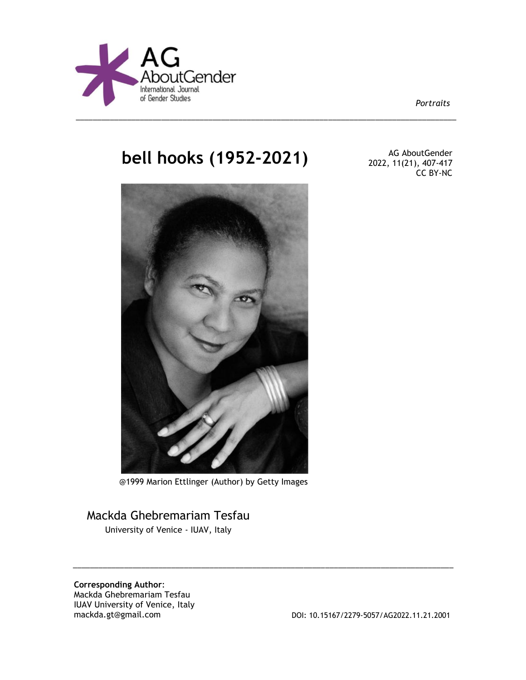

*Portraits*

# **bell hooks (1952-2021)** AG AboutGender

\_\_\_\_\_\_\_\_\_\_\_\_\_\_\_\_\_\_\_\_\_\_\_\_\_\_\_\_\_\_\_\_\_\_\_\_\_\_\_\_\_\_\_\_\_\_\_\_\_\_\_\_\_\_\_\_\_\_\_\_\_\_\_\_\_\_\_\_\_\_\_\_\_\_\_\_\_\_\_\_\_\_\_\_\_\_\_\_\_



@1999 Marion Ettlinger (Author) by Getty Images

\_\_\_\_\_\_\_\_\_\_\_\_\_\_\_\_\_\_\_\_\_\_\_\_\_\_\_\_\_\_\_\_\_\_\_\_\_\_\_\_\_\_\_\_\_\_\_\_\_\_\_\_\_\_\_\_\_\_\_\_\_\_\_\_\_\_\_\_\_\_\_\_\_\_\_\_\_\_\_\_\_\_\_\_\_\_\_\_\_

## Mackda Ghebremariam Tesfau

University of Venice - IUAV, Italy

**Corresponding Author**: Mackda Ghebremariam Tesfau IUAV University of Venice, Italy<br>mackda.gt@gmail.com

DOI: 10.15167/2279-5057/AG2022.11.21.2001

2022, 11(21), 407-417 CC BY-NC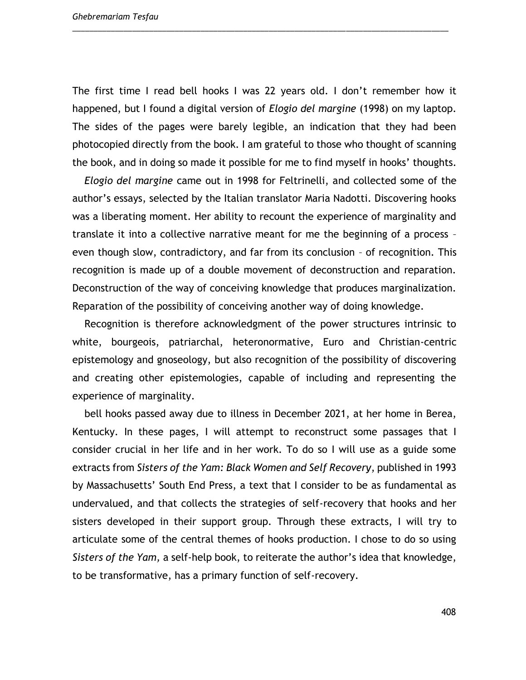The first time I read bell hooks I was 22 years old. I don't remember how it happened, but I found a digital version of *Elogio del margine* (1998) on my laptop. The sides of the pages were barely legible, an indication that they had been photocopied directly from the book. I am grateful to those who thought of scanning the book, and in doing so made it possible for me to find myself in hooks' thoughts.

\_\_\_\_\_\_\_\_\_\_\_\_\_\_\_\_\_\_\_\_\_\_\_\_\_\_\_\_\_\_\_\_\_\_\_\_\_\_\_\_\_\_\_\_\_\_\_\_\_\_\_\_\_\_\_\_\_\_\_\_\_\_\_\_\_\_\_\_\_\_\_\_\_\_\_\_\_\_\_\_\_\_\_\_\_\_\_\_

*Elogio del margine* came out in 1998 for Feltrinelli, and collected some of the author's essays, selected by the Italian translator Maria Nadotti. Discovering hooks was a liberating moment. Her ability to recount the experience of marginality and translate it into a collective narrative meant for me the beginning of a process – even though slow, contradictory, and far from its conclusion – of recognition. This recognition is made up of a double movement of deconstruction and reparation. Deconstruction of the way of conceiving knowledge that produces marginalization. Reparation of the possibility of conceiving another way of doing knowledge.

Recognition is therefore acknowledgment of the power structures intrinsic to white, bourgeois, patriarchal, heteronormative, Euro and Christian-centric epistemology and gnoseology, but also recognition of the possibility of discovering and creating other epistemologies, capable of including and representing the experience of marginality.

bell hooks passed away due to illness in December 2021, at her home in Berea, Kentucky. In these pages, I will attempt to reconstruct some passages that I consider crucial in her life and in her work. To do so I will use as a guide some extracts from *Sisters of the Yam: Black Women and Self Recovery*, published in 1993 by Massachusetts' South End Press, a text that I consider to be as fundamental as undervalued, and that collects the strategies of self-recovery that hooks and her sisters developed in their support group. Through these extracts, I will try to articulate some of the central themes of hooks production. I chose to do so using *Sisters of the Yam,* a self-help book, to reiterate the author's idea that knowledge, to be transformative, has a primary function of self-recovery.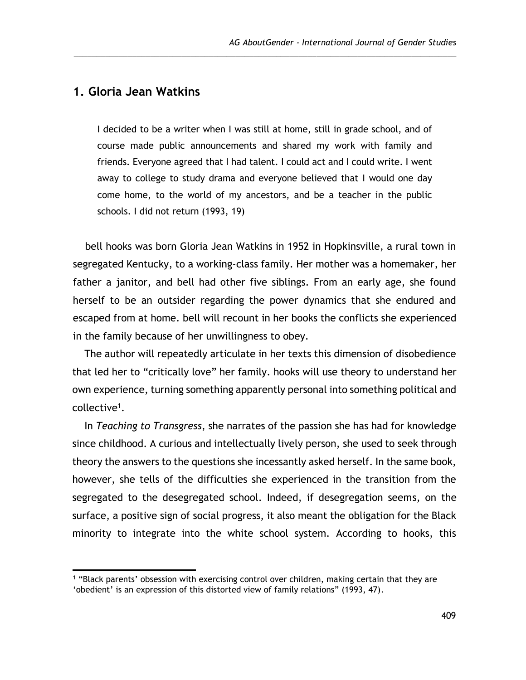## **1. Gloria Jean Watkins**

l

I decided to be a writer when I was still at home, still in grade school, and of course made public announcements and shared my work with family and friends. Everyone agreed that I had talent. I could act and I could write. I went away to college to study drama and everyone believed that I would one day come home, to the world of my ancestors, and be a teacher in the public schools. I did not return (1993, 19)

\_\_\_\_\_\_\_\_\_\_\_\_\_\_\_\_\_\_\_\_\_\_\_\_\_\_\_\_\_\_\_\_\_\_\_\_\_\_\_\_\_\_\_\_\_\_\_\_\_\_\_\_\_\_\_\_\_\_\_\_\_\_\_\_\_\_\_\_\_\_\_\_\_\_\_\_\_\_\_\_\_\_\_\_\_

bell hooks was born Gloria Jean Watkins in 1952 in Hopkinsville, a rural town in segregated Kentucky, to a working-class family. Her mother was a homemaker, her father a janitor, and bell had other five siblings. From an early age, she found herself to be an outsider regarding the power dynamics that she endured and escaped from at home. bell will recount in her books the conflicts she experienced in the family because of her unwillingness to obey.

The author will repeatedly articulate in her texts this dimension of disobedience that led her to "critically love" her family. hooks will use theory to understand her own experience, turning something apparently personal into something political and collective<sup>1</sup>.

In *Teaching to Transgress*, she narrates of the passion she has had for knowledge since childhood. A curious and intellectually lively person, she used to seek through theory the answers to the questions she incessantly asked herself. In the same book, however, she tells of the difficulties she experienced in the transition from the segregated to the desegregated school. Indeed, if desegregation seems, on the surface, a positive sign of social progress, it also meant the obligation for the Black minority to integrate into the white school system. According to hooks, this

<sup>1</sup> "Black parents' obsession with exercising control over children, making certain that they are

<sup>&#</sup>x27;obedient' is an expression of this distorted view of family relations" (1993, 47).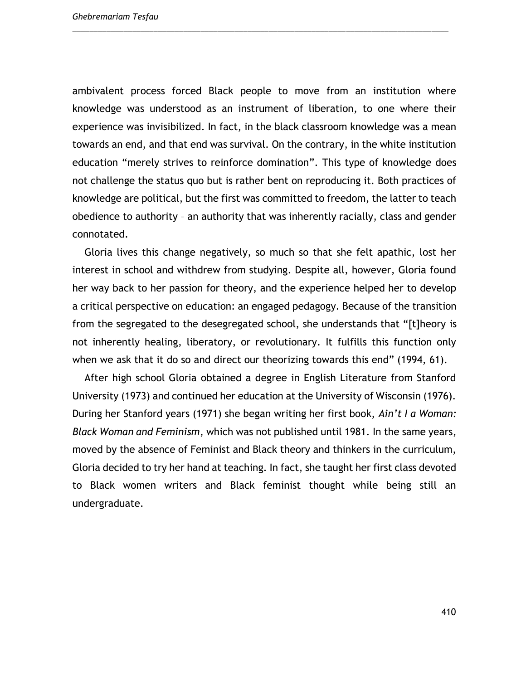ambivalent process forced Black people to move from an institution where knowledge was understood as an instrument of liberation, to one where their experience was invisibilized. In fact, in the black classroom knowledge was a mean towards an end, and that end was survival. On the contrary, in the white institution education "merely strives to reinforce domination". This type of knowledge does not challenge the status quo but is rather bent on reproducing it. Both practices of knowledge are political, but the first was committed to freedom, the latter to teach obedience to authority – an authority that was inherently racially, class and gender connotated.

\_\_\_\_\_\_\_\_\_\_\_\_\_\_\_\_\_\_\_\_\_\_\_\_\_\_\_\_\_\_\_\_\_\_\_\_\_\_\_\_\_\_\_\_\_\_\_\_\_\_\_\_\_\_\_\_\_\_\_\_\_\_\_\_\_\_\_\_\_\_\_\_\_\_\_\_\_\_\_\_\_\_\_\_\_\_\_\_

Gloria lives this change negatively, so much so that she felt apathic, lost her interest in school and withdrew from studying. Despite all, however, Gloria found her way back to her passion for theory, and the experience helped her to develop a critical perspective on education: an engaged pedagogy. Because of the transition from the segregated to the desegregated school, she understands that "[t]heory is not inherently healing, liberatory, or revolutionary. It fulfills this function only when we ask that it do so and direct our theorizing towards this end" (1994, 61).

After high school Gloria obtained a degree in English Literature from Stanford University (1973) and continued her education at the University of Wisconsin (1976). During her Stanford years (1971) she began writing her first book, *Ain't I a Woman: Black Woman and Feminism*, which was not published until 1981*.* In the same years, moved by the absence of Feminist and Black theory and thinkers in the curriculum, Gloria decided to try her hand at teaching. In fact, she taught her first class devoted to Black women writers and Black feminist thought while being still an undergraduate.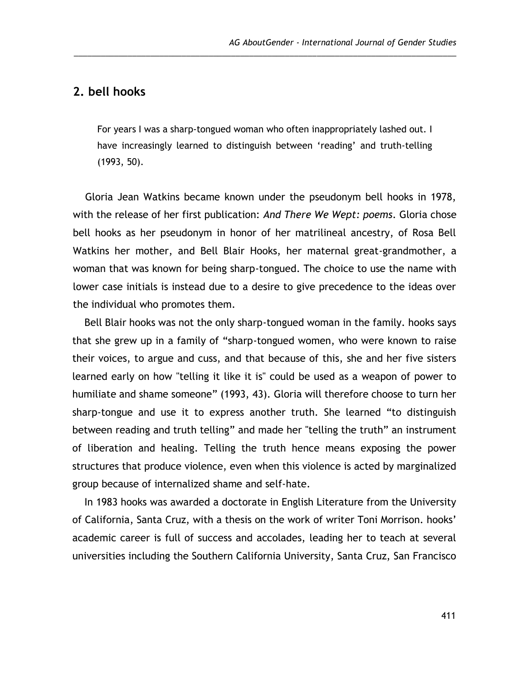## **2. bell hooks**

For years I was a sharp-tongued woman who often inappropriately lashed out. I have increasingly learned to distinguish between 'reading' and truth-telling (1993, 50).

\_\_\_\_\_\_\_\_\_\_\_\_\_\_\_\_\_\_\_\_\_\_\_\_\_\_\_\_\_\_\_\_\_\_\_\_\_\_\_\_\_\_\_\_\_\_\_\_\_\_\_\_\_\_\_\_\_\_\_\_\_\_\_\_\_\_\_\_\_\_\_\_\_\_\_\_\_\_\_\_\_\_\_\_\_

Gloria Jean Watkins became known under the pseudonym bell hooks in 1978, with the release of her first publication: *And There We Wept: poems*. Gloria chose bell hooks as her pseudonym in honor of her matrilineal ancestry, of Rosa Bell Watkins her mother, and Bell Blair Hooks, her maternal great-grandmother, a woman that was known for being sharp-tongued. The choice to use the name with lower case initials is instead due to a desire to give precedence to the ideas over the individual who promotes them.

Bell Blair hooks was not the only sharp-tongued woman in the family. hooks says that she grew up in a family of "sharp-tongued women, who were known to raise their voices, to argue and cuss, and that because of this, she and her five sisters learned early on how "telling it like it is" could be used as a weapon of power to humiliate and shame someone" (1993, 43). Gloria will therefore choose to turn her sharp-tongue and use it to express another truth. She learned "to distinguish between reading and truth telling" and made her "telling the truth" an instrument of liberation and healing. Telling the truth hence means exposing the power structures that produce violence, even when this violence is acted by marginalized group because of internalized shame and self-hate.

In 1983 hooks was awarded a doctorate in English Literature from the University of California, Santa Cruz, with a thesis on the work of writer Toni Morrison. hooks' academic career is full of success and accolades, leading her to teach at several universities including the Southern California University, Santa Cruz, San Francisco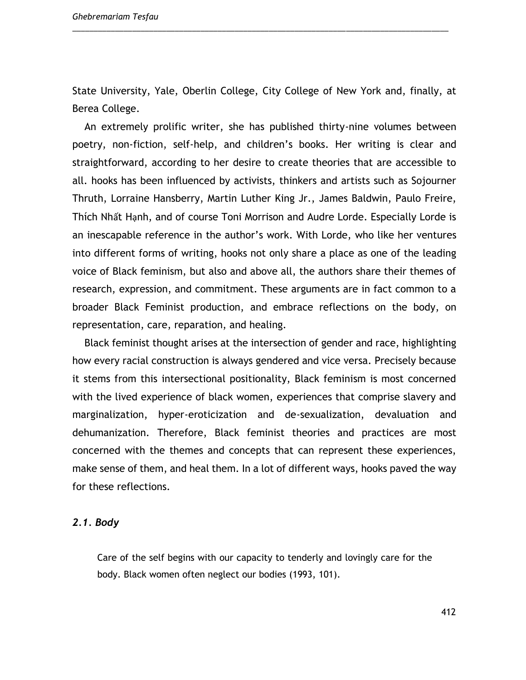State University, Yale, Oberlin College, City College of New York and, finally, at Berea College.

\_\_\_\_\_\_\_\_\_\_\_\_\_\_\_\_\_\_\_\_\_\_\_\_\_\_\_\_\_\_\_\_\_\_\_\_\_\_\_\_\_\_\_\_\_\_\_\_\_\_\_\_\_\_\_\_\_\_\_\_\_\_\_\_\_\_\_\_\_\_\_\_\_\_\_\_\_\_\_\_\_\_\_\_\_\_\_\_

An extremely prolific writer, she has published thirty-nine volumes between poetry, non-fiction, self-help, and children's books. Her writing is clear and straightforward, according to her desire to create theories that are accessible to all. hooks has been influenced by activists, thinkers and artists such as Sojourner Thruth, Lorraine Hansberry, Martin Luther King Jr., James Baldwin, Paulo Freire, Thích Nhất Hạnh, and of course Toni Morrison and Audre Lorde. Especially Lorde is an inescapable reference in the author's work. With Lorde, who like her ventures into different forms of writing, hooks not only share a place as one of the leading voice of Black feminism, but also and above all, the authors share their themes of research, expression, and commitment. These arguments are in fact common to a broader Black Feminist production, and embrace reflections on the body, on representation, care, reparation, and healing.

Black feminist thought arises at the intersection of gender and race, highlighting how every racial construction is always gendered and vice versa. Precisely because it stems from this intersectional positionality, Black feminism is most concerned with the lived experience of black women, experiences that comprise slavery and marginalization, hyper-eroticization and de-sexualization, devaluation and dehumanization. Therefore, Black feminist theories and practices are most concerned with the themes and concepts that can represent these experiences, make sense of them, and heal them. In a lot of different ways, hooks paved the way for these reflections.

#### *2.1. Body*

Care of the self begins with our capacity to tenderly and lovingly care for the body. Black women often neglect our bodies (1993, 101).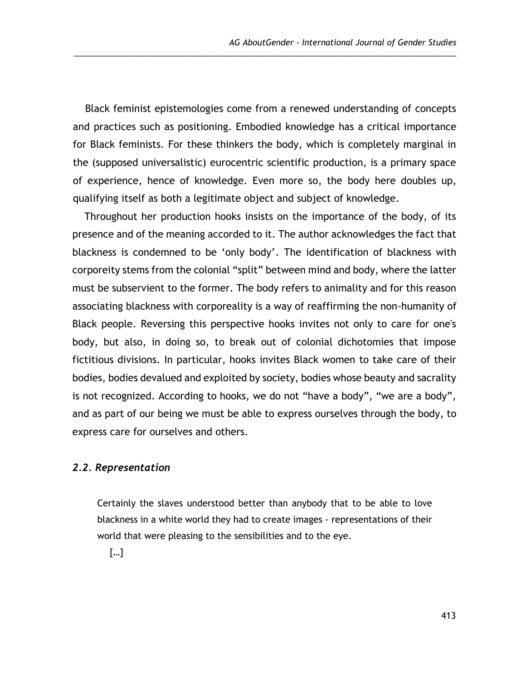Black feminist epistemologies come from a renewed understanding of concepts and practices such as positioning. Embodied knowledge has a critical importance for Black feminists. For these thinkers the body, which is completely marginal in the (supposed universalistic) eurocentric scientific production, is a primary space of experience, hence of knowledge. Even more so, the body here doubles up, qualifying itself as both a legitimate object and subject of knowledge.

\_\_\_\_\_\_\_\_\_\_\_\_\_\_\_\_\_\_\_\_\_\_\_\_\_\_\_\_\_\_\_\_\_\_\_\_\_\_\_\_\_\_\_\_\_\_\_\_\_\_\_\_\_\_\_\_\_\_\_\_\_\_\_\_\_\_\_\_\_\_\_\_\_\_\_\_\_\_\_\_\_\_\_\_\_

Throughout her production hooks insists on the importance of the body, of its presence and of the meaning accorded to it. The author acknowledges the fact that blackness is condemned to be 'only body'. The identification of blackness with corporeity stems from the colonial "split" between mind and body, where the latter must be subservient to the former. The body refers to animality and for this reason associating blackness with corporeality is a way of reaffirming the non-humanity of Black people. Reversing this perspective hooks invites not only to care for one's body, but also, in doing so, to break out of colonial dichotomies that impose fictitious divisions. In particular, hooks invites Black women to take care of their bodies, bodies devalued and exploited by society, bodies whose beauty and sacrality is not recognized. According to hooks, we do not "have a body", "we are a body", and as part of our being we must be able to express ourselves through the body, to express care for ourselves and others.

#### *2.2. Representation*

Certainly the slaves understood better than anybody that to be able to love blackness in a white world they had to create images - representations of their world that were pleasing to the sensibilities and to the eye.

[…]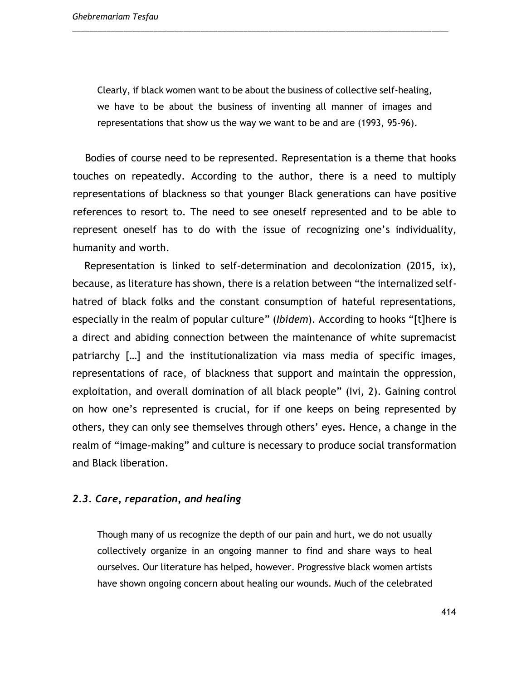Clearly, if black women want to be about the business of collective self-healing, we have to be about the business of inventing all manner of images and representations that show us the way we want to be and are (1993, 95-96).

\_\_\_\_\_\_\_\_\_\_\_\_\_\_\_\_\_\_\_\_\_\_\_\_\_\_\_\_\_\_\_\_\_\_\_\_\_\_\_\_\_\_\_\_\_\_\_\_\_\_\_\_\_\_\_\_\_\_\_\_\_\_\_\_\_\_\_\_\_\_\_\_\_\_\_\_\_\_\_\_\_\_\_\_\_\_\_\_

Bodies of course need to be represented. Representation is a theme that hooks touches on repeatedly. According to the author, there is a need to multiply representations of blackness so that younger Black generations can have positive references to resort to. The need to see oneself represented and to be able to represent oneself has to do with the issue of recognizing one's individuality, humanity and worth.

Representation is linked to self-determination and decolonization (2015, ix), because, as literature has shown, there is a relation between "the internalized selfhatred of black folks and the constant consumption of hateful representations, especially in the realm of popular culture" (*Ibidem*). According to hooks "[t]here is a direct and abiding connection between the maintenance of white supremacist patriarchy […] and the institutionalization via mass media of specific images, representations of race, of blackness that support and maintain the oppression, exploitation, and overall domination of all black people" (Ivi, 2). Gaining control on how one's represented is crucial, for if one keeps on being represented by others, they can only see themselves through others' eyes. Hence, a change in the realm of "image-making" and culture is necessary to produce social transformation and Black liberation.

#### *2.3. Care, reparation, and healing*

Though many of us recognize the depth of our pain and hurt, we do not usually collectively organize in an ongoing manner to find and share ways to heal ourselves. Our literature has helped, however. Progressive black women artists have shown ongoing concern about healing our wounds. Much of the celebrated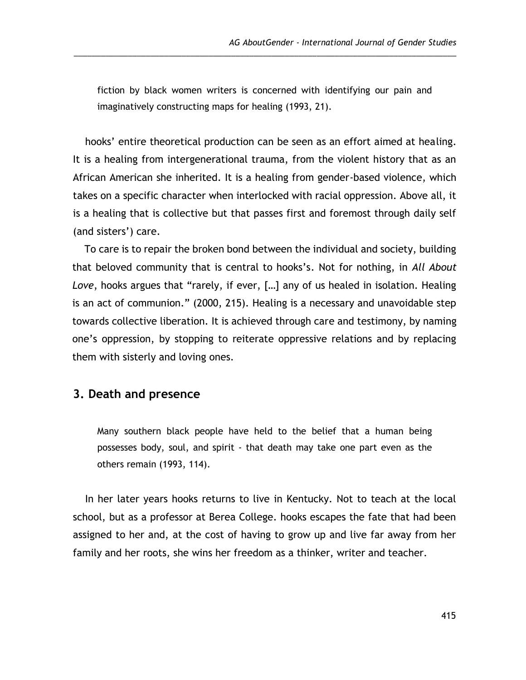fiction by black women writers is concerned with identifying our pain and imaginatively constructing maps for healing (1993, 21).

\_\_\_\_\_\_\_\_\_\_\_\_\_\_\_\_\_\_\_\_\_\_\_\_\_\_\_\_\_\_\_\_\_\_\_\_\_\_\_\_\_\_\_\_\_\_\_\_\_\_\_\_\_\_\_\_\_\_\_\_\_\_\_\_\_\_\_\_\_\_\_\_\_\_\_\_\_\_\_\_\_\_\_\_\_

hooks' entire theoretical production can be seen as an effort aimed at healing. It is a healing from intergenerational trauma, from the violent history that as an African American she inherited. It is a healing from gender-based violence, which takes on a specific character when interlocked with racial oppression. Above all, it is a healing that is collective but that passes first and foremost through daily self (and sisters') care.

To care is to repair the broken bond between the individual and society, building that beloved community that is central to hooks's. Not for nothing, in *All About Love*, hooks argues that "rarely, if ever, […] any of us healed in isolation. Healing is an act of communion." (2000, 215). Healing is a necessary and unavoidable step towards collective liberation. It is achieved through care and testimony, by naming one's oppression, by stopping to reiterate oppressive relations and by replacing them with sisterly and loving ones.

## **3. Death and presence**

Many southern black people have held to the belief that a human being possesses body, soul, and spirit - that death may take one part even as the others remain (1993, 114).

In her later years hooks returns to live in Kentucky. Not to teach at the local school, but as a professor at Berea College. hooks escapes the fate that had been assigned to her and, at the cost of having to grow up and live far away from her family and her roots, she wins her freedom as a thinker, writer and teacher.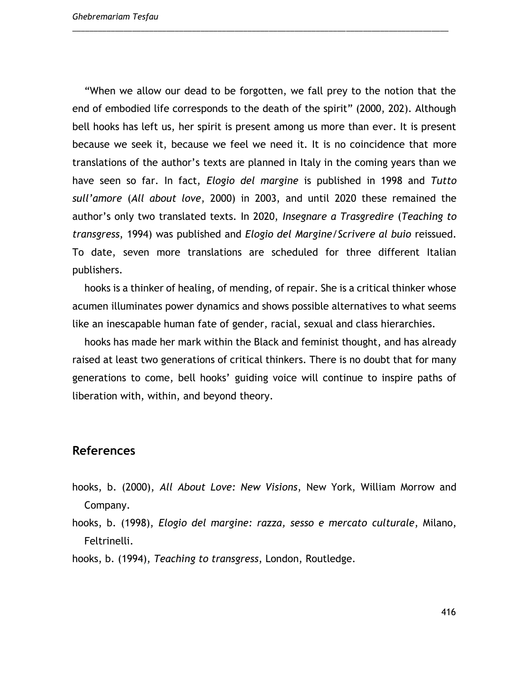"When we allow our dead to be forgotten, we fall prey to the notion that the end of embodied life corresponds to the death of the spirit" (2000, 202). Although bell hooks has left us, her spirit is present among us more than ever. It is present because we seek it, because we feel we need it. It is no coincidence that more translations of the author's texts are planned in Italy in the coming years than we have seen so far. In fact, *Elogio del margine* is published in 1998 and *Tutto sull'amore* (*All about love*, 2000) in 2003, and until 2020 these remained the author's only two translated texts. In 2020, *Insegnare a Trasgredire* (*Teaching to transgress*, 1994) was published and *Elogio del Margine*/*Scrivere al buio* reissued. To date, seven more translations are scheduled for three different Italian publishers.

\_\_\_\_\_\_\_\_\_\_\_\_\_\_\_\_\_\_\_\_\_\_\_\_\_\_\_\_\_\_\_\_\_\_\_\_\_\_\_\_\_\_\_\_\_\_\_\_\_\_\_\_\_\_\_\_\_\_\_\_\_\_\_\_\_\_\_\_\_\_\_\_\_\_\_\_\_\_\_\_\_\_\_\_\_\_\_\_

hooks is a thinker of healing, of mending, of repair. She is a critical thinker whose acumen illuminates power dynamics and shows possible alternatives to what seems like an inescapable human fate of gender, racial, sexual and class hierarchies.

hooks has made her mark within the Black and feminist thought, and has already raised at least two generations of critical thinkers. There is no doubt that for many generations to come, bell hooks' guiding voice will continue to inspire paths of liberation with, within, and beyond theory.

## **References**

- hooks, b. (2000), *All About Love: New Visions*, New York, William Morrow and Company.
- hooks, b. (1998), *Elogio del margine: razza, sesso e mercato culturale*, Milano, Feltrinelli.

hooks, b. (1994), *Teaching to transgress*, London, Routledge.